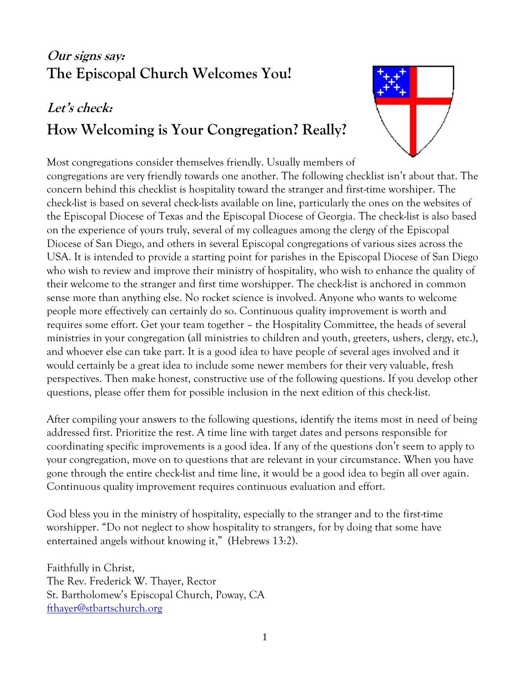# **Our signs say: The Episcopal Church Welcomes You!**

# **Let's check: How Welcoming is Your Congregation? Really?**



Most congregations consider themselves friendly. Usually members of congregations are very friendly towards one another. The following checklist isn't about that. The concern behind this checklist is hospitality toward the stranger and first-time worshiper. The check-list is based on several check-lists available on line, particularly the ones on the websites of the Episcopal Diocese of Texas and the Episcopal Diocese of Georgia. The check-list is also based on the experience of yours truly, several of my colleagues among the clergy of the Episcopal Diocese of San Diego, and others in several Episcopal congregations of various sizes across the USA. It is intended to provide a starting point for parishes in the Episcopal Diocese of San Diego who wish to review and improve their ministry of hospitality, who wish to enhance the quality of their welcome to the stranger and first time worshipper. The check-list is anchored in common sense more than anything else. No rocket science is involved. Anyone who wants to welcome people more effectively can certainly do so. Continuous quality improvement is worth and requires some effort. Get your team together – the Hospitality Committee, the heads of several ministries in your congregation (all ministries to children and youth, greeters, ushers, clergy, etc.), and whoever else can take part. It is a good idea to have people of several ages involved and it would certainly be a great idea to include some newer members for their very valuable, fresh perspectives. Then make honest, constructive use of the following questions. If you develop other questions, please offer them for possible inclusion in the next edition of this check-list.

After compiling your answers to the following questions, identify the items most in need of being addressed first. Prioritize the rest. A time line with target dates and persons responsible for coordinating specific improvements is a good idea. If any of the questions don't seem to apply to your congregation, move on to questions that are relevant in your circumstance. When you have gone through the entire check-list and time line, it would be a good idea to begin all over again. Continuous quality improvement requires continuous evaluation and effort.

God bless you in the ministry of hospitality, especially to the stranger and to the first-time worshipper. "Do not neglect to show hospitality to strangers, for by doing that some have entertained angels without knowing it," (Hebrews 13:2).

Faithfully in Christ, The Rev. Frederick W. Thayer, Rector St. Bartholomew's Episcopal Church, Poway, CA [fthayer@stbartschurch.org](mailto:fthayer@stbartschurch.org)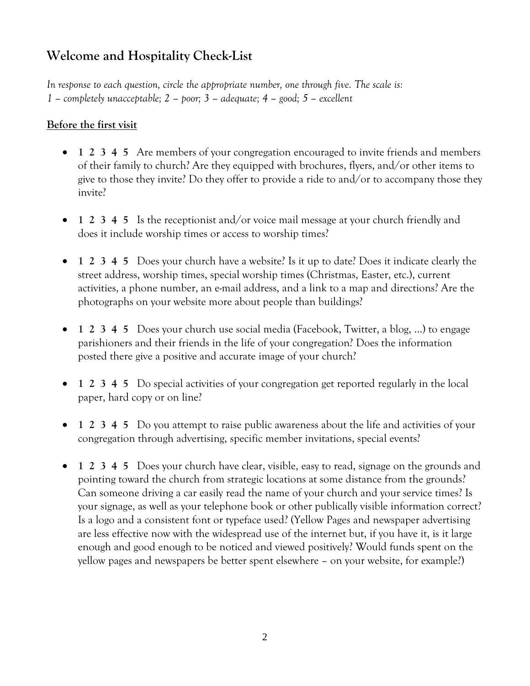## **Welcome and Hospitality Check-List**

*In response to each question, circle the appropriate number, one through five. The scale is: 1 – completely unacceptable; 2 – poor; 3 – adequate; 4 – good; 5 – excellent*

#### **Before the first visit**

- **1 2 3 4 5** Are members of your congregation encouraged to invite friends and members of their family to church? Are they equipped with brochures, flyers, and/or other items to give to those they invite? Do they offer to provide a ride to and/or to accompany those they invite?
- **1 2 3 4 5** Is the receptionist and/or voice mail message at your church friendly and does it include worship times or access to worship times?
- **1 2 3 4 5** Does your church have a website? Is it up to date? Does it indicate clearly the street address, worship times, special worship times (Christmas, Easter, etc.), current activities, a phone number, an e-mail address, and a link to a map and directions? Are the photographs on your website more about people than buildings?
- **1 2 3 4 5** Does your church use social media (Facebook, Twitter, a blog, …) to engage parishioners and their friends in the life of your congregation? Does the information posted there give a positive and accurate image of your church?
- **1 2 3 4 5** Do special activities of your congregation get reported regularly in the local paper, hard copy or on line?
- **1 2 3 4 5** Do you attempt to raise public awareness about the life and activities of your congregation through advertising, specific member invitations, special events?
- **1 2 3 4 5** Does your church have clear, visible, easy to read, signage on the grounds and pointing toward the church from strategic locations at some distance from the grounds? Can someone driving a car easily read the name of your church and your service times? Is your signage, as well as your telephone book or other publically visible information correct? Is a logo and a consistent font or typeface used? (Yellow Pages and newspaper advertising are less effective now with the widespread use of the internet but, if you have it, is it large enough and good enough to be noticed and viewed positively? Would funds spent on the yellow pages and newspapers be better spent elsewhere – on your website, for example?)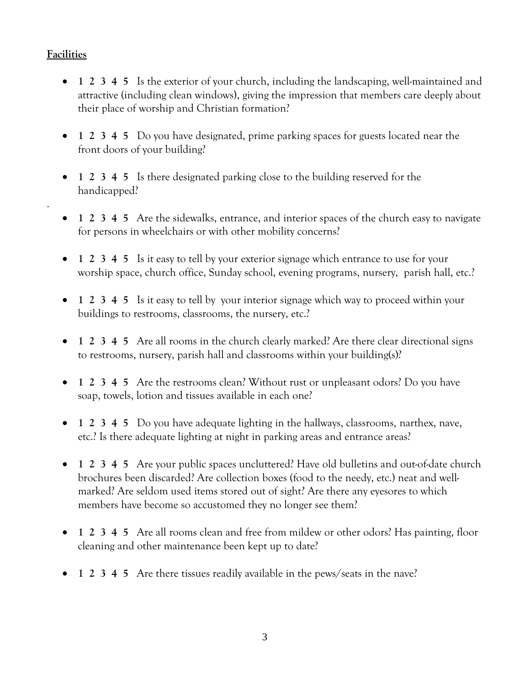### **Facilities**

.

- **1 2 3 4 5** Is the exterior of your church, including the landscaping, well-maintained and attractive (including clean windows), giving the impression that members care deeply about their place of worship and Christian formation?
- **1 2 3 4 5** Do you have designated, prime parking spaces for guests located near the front doors of your building?
- **1 2 3 4 5** Is there designated parking close to the building reserved for the handicapped?
- **1 2 3 4 5** Are the sidewalks, entrance, and interior spaces of the church easy to navigate for persons in wheelchairs or with other mobility concerns?
- **1 2 3 4 5** Is it easy to tell by your exterior signage which entrance to use for your worship space, church office, Sunday school, evening programs, nursery, parish hall, etc.?
- **1 2 3 4 5** Is it easy to tell by your interior signage which way to proceed within your buildings to restrooms, classrooms, the nursery, etc.?
- **1 2 3 4 5** Are all rooms in the church clearly marked? Are there clear directional signs to restrooms, nursery, parish hall and classrooms within your building(s)?
- **1 2 3 4 5** Are the restrooms clean? Without rust or unpleasant odors? Do you have soap, towels, lotion and tissues available in each one?
- **1 2 3 4 5** Do you have adequate lighting in the hallways, classrooms, narthex, nave, etc.? Is there adequate lighting at night in parking areas and entrance areas?
- **1 2 3 4 5** Are your public spaces uncluttered? Have old bulletins and out-of-date church brochures been discarded? Are collection boxes (food to the needy, etc.) neat and wellmarked? Are seldom used items stored out of sight? Are there any eyesores to which members have become so accustomed they no longer see them?
- **1 2 3 4 5** Are all rooms clean and free from mildew or other odors? Has painting, floor cleaning and other maintenance been kept up to date?
- **1 2 3 4 5** Are there tissues readily available in the pews/seats in the nave?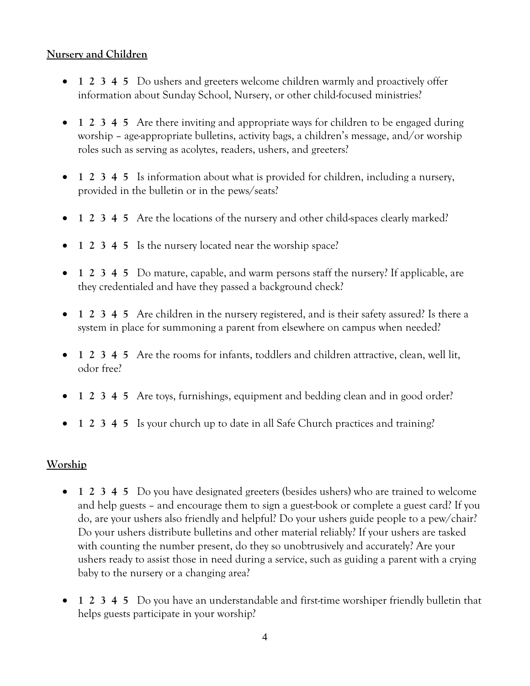#### **Nursery and Children**

- **1 2 3 4 5** Do ushers and greeters welcome children warmly and proactively offer information about Sunday School, Nursery, or other child-focused ministries?
- **1 2 3 4 5** Are there inviting and appropriate ways for children to be engaged during worship – age-appropriate bulletins, activity bags, a children's message, and/or worship roles such as serving as acolytes, readers, ushers, and greeters?
- **1 2 3 4 5** Is information about what is provided for children, including a nursery, provided in the bulletin or in the pews/seats?
- **1 2 3 4 5** Are the locations of the nursery and other child-spaces clearly marked?
- **1 2 3 4 5** Is the nursery located near the worship space?
- **1 2 3 4 5** Do mature, capable, and warm persons staff the nursery? If applicable, are they credentialed and have they passed a background check?
- **1 2 3 4 5** Are children in the nursery registered, and is their safety assured? Is there a system in place for summoning a parent from elsewhere on campus when needed?
- **1 2 3 4 5** Are the rooms for infants, toddlers and children attractive, clean, well lit, odor free?
- **1 2 3 4 5** Are toys, furnishings, equipment and bedding clean and in good order?
- **1 2 3 4 5** Is your church up to date in all Safe Church practices and training?

#### **Worship**

- **1 2 3 4 5** Do you have designated greeters (besides ushers) who are trained to welcome and help guests – and encourage them to sign a guest-book or complete a guest card? If you do, are your ushers also friendly and helpful? Do your ushers guide people to a pew/chair? Do your ushers distribute bulletins and other material reliably? If your ushers are tasked with counting the number present, do they so unobtrusively and accurately? Are your ushers ready to assist those in need during a service, such as guiding a parent with a crying baby to the nursery or a changing area?
- **1 2 3 4 5** Do you have an understandable and first-time worshiper friendly bulletin that helps guests participate in your worship?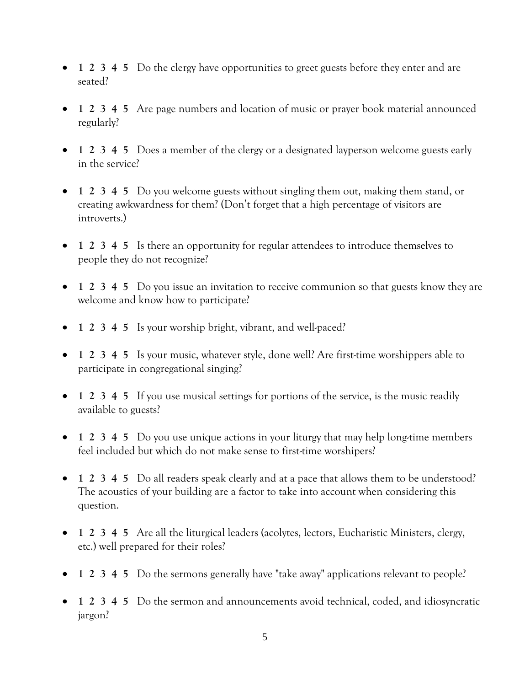- **1 2 3 4 5** Do the clergy have opportunities to greet guests before they enter and are seated?
- **1 2 3 4 5** Are page numbers and location of music or prayer book material announced regularly?
- **1 2 3 4 5** Does a member of the clergy or a designated layperson welcome guests early in the service?
- **1 2 3 4 5** Do you welcome guests without singling them out, making them stand, or creating awkwardness for them? (Don't forget that a high percentage of visitors are introverts.)
- **1 2 3 4 5** Is there an opportunity for regular attendees to introduce themselves to people they do not recognize?
- **1 2 3 4 5** Do you issue an invitation to receive communion so that guests know they are welcome and know how to participate?
- **1 2 3 4 5** Is your worship bright, vibrant, and well-paced?
- **1 2 3 4 5** Is your music, whatever style, done well? Are first-time worshippers able to participate in congregational singing?
- **1 2 3 4 5** If you use musical settings for portions of the service, is the music readily available to guests?
- **1 2 3 4 5** Do you use unique actions in your liturgy that may help long-time members feel included but which do not make sense to first-time worshipers?
- **1 2 3 4 5** Do all readers speak clearly and at a pace that allows them to be understood? The acoustics of your building are a factor to take into account when considering this question.
- **1 2 3 4 5** Are all the liturgical leaders (acolytes, lectors, Eucharistic Ministers, clergy, etc.) well prepared for their roles?
- **1 2 3 4 5** Do the sermons generally have "take away" applications relevant to people?
- **1 2 3 4 5** Do the sermon and announcements avoid technical, coded, and idiosyncratic jargon?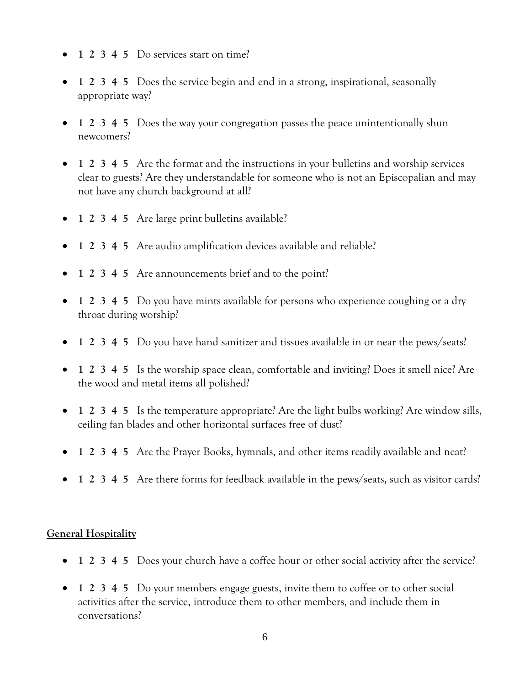- **1 2 3 4 5** Do services start on time?
- **1 2 3 4 5** Does the service begin and end in a strong, inspirational, seasonally appropriate way?
- 1 2 3 4 5 Does the way your congregation passes the peace unintentionally shun newcomers?
- **1 2 3 4 5** Are the format and the instructions in your bulletins and worship services clear to guests? Are they understandable for someone who is not an Episcopalian and may not have any church background at all?
- **1 2 3 4 5** Are large print bulletins available?
- 1 2 3 4 5 Are audio amplification devices available and reliable?
- **1 2 3 4 5** Are announcements brief and to the point?
- **1 2 3 4 5** Do you have mints available for persons who experience coughing or a dry throat during worship?
- **1 2 3 4 5** Do you have hand sanitizer and tissues available in or near the pews/seats?
- **1 2 3 4 5** Is the worship space clean, comfortable and inviting? Does it smell nice? Are the wood and metal items all polished?
- **1 2 3 4 5** Is the temperature appropriate? Are the light bulbs working? Are window sills, ceiling fan blades and other horizontal surfaces free of dust?
- **1 2 3 4 5** Are the Prayer Books, hymnals, and other items readily available and neat?
- 1 2 3 4 5 Are there forms for feedback available in the pews/seats, such as visitor cards?

#### **General Hospitality**

- **1 2 3 4 5** Does your church have a coffee hour or other social activity after the service?
- **1 2 3 4 5** Do your members engage guests, invite them to coffee or to other social activities after the service, introduce them to other members, and include them in conversations?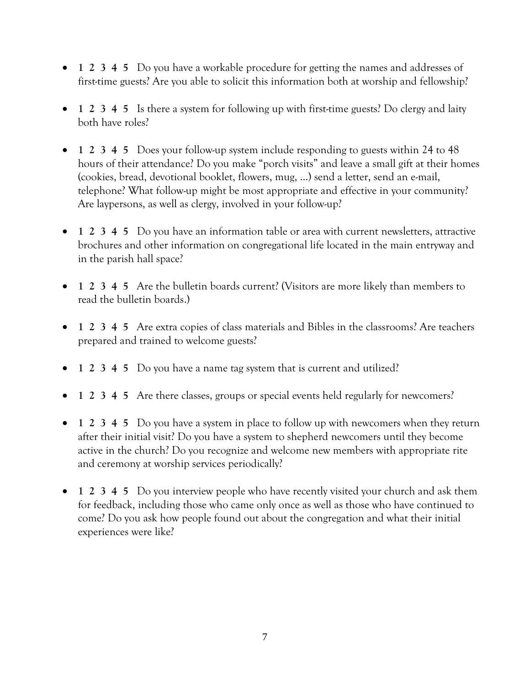- **1 2 3 4 5** Do you have a workable procedure for getting the names and addresses of first-time guests? Are you able to solicit this information both at worship and fellowship?
- **1 2 3 4 5** Is there a system for following up with first-time guests? Do clergy and laity both have roles?
- **1 2 3 4 5** Does your follow-up system include responding to guests within 24 to 48 hours of their attendance? Do you make "porch visits" and leave a small gift at their homes (cookies, bread, devotional booklet, flowers, mug, …) send a letter, send an e-mail, telephone? What follow-up might be most appropriate and effective in your community? Are laypersons, as well as clergy, involved in your follow-up?
- **1 2 3 4 5** Do you have an information table or area with current newsletters, attractive brochures and other information on congregational life located in the main entryway and in the parish hall space?
- **1 2 3 4 5** Are the bulletin boards current? (Visitors are more likely than members to read the bulletin boards.)
- **1 2 3 4 5** Are extra copies of class materials and Bibles in the classrooms? Are teachers prepared and trained to welcome guests?
- **1 2 3 4 5** Do you have a name tag system that is current and utilized?
- **1 2 3 4 5** Are there classes, groups or special events held regularly for newcomers?
- **1 2 3 4 5** Do you have a system in place to follow up with newcomers when they return after their initial visit? Do you have a system to shepherd newcomers until they become active in the church? Do you recognize and welcome new members with appropriate rite and ceremony at worship services periodically?
- **1 2 3 4 5** Do you interview people who have recently visited your church and ask them for feedback, including those who came only once as well as those who have continued to come? Do you ask how people found out about the congregation and what their initial experiences were like?